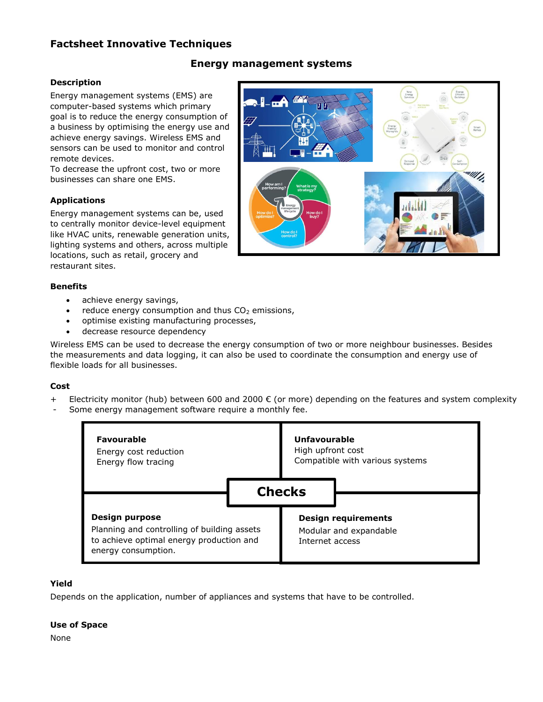# **Factsheet Innovative Techniques**

# **Energy management systems**

# **Description**

Energy management systems (EMS) are computer-based systems which primary goal is to reduce the energy consumption of a business by optimising the energy use and achieve energy savings. Wireless EMS and sensors can be used to monitor and control remote devices.

To decrease the upfront cost, two or more businesses can share one EMS.

# **Applications**

Energy management systems can be, used to centrally monitor device-level equipment like HVAC units, renewable generation units, lighting systems and others, across multiple locations, such as retail, grocery and restaurant sites.



#### **Benefits**

- achieve energy savings,
- reduce energy consumption and thus  $CO<sub>2</sub>$  emissions,
- optimise existing manufacturing processes,
- decrease resource dependency

Wireless EMS can be used to decrease the energy consumption of two or more neighbour businesses. Besides the measurements and data logging, it can also be used to coordinate the consumption and energy use of flexible loads for all businesses.

#### **Cost**

- + Electricity monitor (hub) between 600 and 2000  $\epsilon$  (or more) depending on the features and system complexity
- Some energy management software require a monthly fee.



#### **Yield**

Depends on the application, number of appliances and systems that have to be controlled.

#### **Use of Space**

None